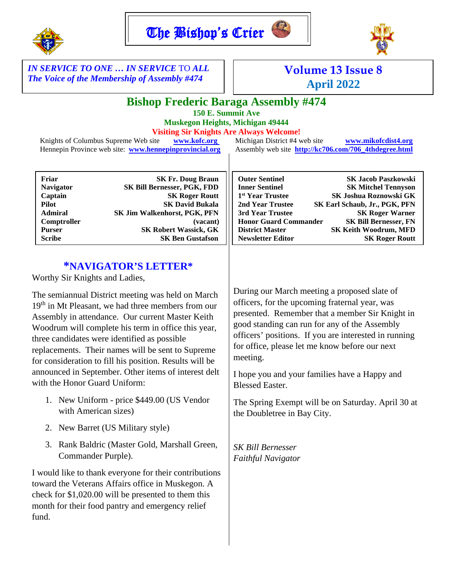



*IN SERVICE TO ONE … IN SERVICE* TO *ALL The Voice of the Membership of Assembly #474* 

# **Volume 13 Issue 8 April 2022**

# **Bishop Frederic Baraga Assembly #474**

**150 E. Summit Ave Muskegon Heights, Michigan 49444**

**Visiting Sir Knights Are Always Welcome!**

Knights of Columbus Supreme Web site **[www.kofc.org](http://www.kofc.org/)** Michigan District #4 web site **[www.mikofcdist4.org](http://www.mikofcdist4.org/)** Hennepin Province web site: **[www.hennepinprovincial.org](http://www.hennepinprovincial.org/)** Assembly web site **http://kc706.com/706\_4thdegree.html**

| Friar            | <b>SK Fr. Doug Braun</b>     | <b>Outer Sentinel</b>        | <b>SK Jacob Paszkowski</b>    |
|------------------|------------------------------|------------------------------|-------------------------------|
| <b>Navigator</b> | SK Bill Bernesser, PGK, FDD  | <b>Inner Sentinel</b>        | <b>SK Mitchel Tennyson</b>    |
| Captain          | <b>SK Roger Routt</b>        | 1 <sup>st</sup> Year Trustee | SK Joshua Roznowski GK        |
| Pilot            | <b>SK David Bukala</b>       | 2nd Year Trustee             | SK Earl Schaub, Jr., PGK, PFN |
| <b>Admiral</b>   | SK Jim Walkenhorst, PGK, PFN | 3rd Year Trustee             | <b>SK Roger Warner</b>        |
| Comptroller      | (vacant)                     | <b>Honor Guard Commander</b> | <b>SK Bill Bernesser, FN</b>  |
| <b>Purser</b>    | <b>SK Robert Wassick, GK</b> | <b>District Master</b>       | <b>SK Keith Woodrum, MFD</b>  |
| <b>Scribe</b>    | <b>SK Ben Gustafson</b>      | <b>Newsletter Editor</b>     | <b>SK Roger Routt</b>         |
|                  |                              |                              |                               |

#### **\*NAVIGATOR'S LETTER\***

Worthy Sir Knights and Ladies,

The semiannual District meeting was held on March 19<sup>th</sup> in Mt Pleasant, we had three members from our Assembly in attendance. Our current Master Keith Woodrum will complete his term in office this year, three candidates were identified as possible replacements. Their names will be sent to Supreme for consideration to fill his position. Results will be announced in September. Other items of interest delt with the Honor Guard Uniform:

- 1. New Uniform price \$449.00 (US Vendor with American sizes)
- 2. New Barret (US Military style)
- 3. Rank Baldric (Master Gold, Marshall Green, Commander Purple).

I would like to thank everyone for their contributions toward the Veterans Affairs office in Muskegon. A check for \$1,020.00 will be presented to them this month for their food pantry and emergency relief fund.

During our March meeting a proposed slate of officers, for the upcoming fraternal year, was presented. Remember that a member Sir Knight in good standing can run for any of the Assembly officers' positions. If you are interested in running for office, please let me know before our next meeting.

I hope you and your families have a Happy and Blessed Easter.

The Spring Exempt will be on Saturday. April 30 at the Doubletree in Bay City.

*SK Bill Bernesser Faithful Navigator*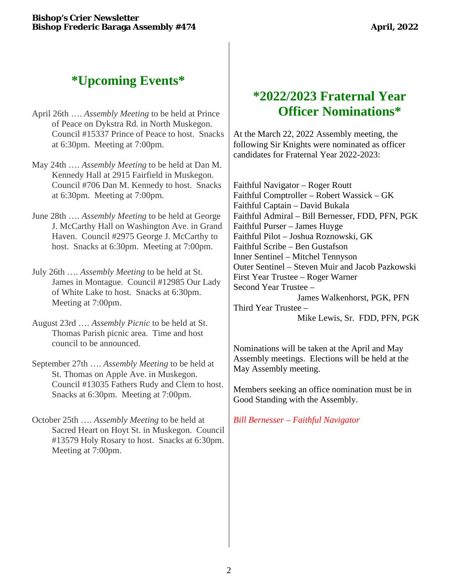# **\*Upcoming Events\***

- April 26th …. *Assembly Meeting* to be held at Prince of Peace on Dykstra Rd. in North Muskegon. Council #15337 Prince of Peace to host. Snacks at 6:30pm. Meeting at 7:00pm.
- May 24th …. *Assembly Meeting* to be held at Dan M. Kennedy Hall at 2915 Fairfield in Muskegon. Council #706 Dan M. Kennedy to host. Snacks at 6:30pm. Meeting at 7:00pm.
- June 28th …. *Assembly Meeting* to be held at George J. McCarthy Hall on Washington Ave. in Grand Haven. Council #2975 George J. McCarthy to host. Snacks at 6:30pm. Meeting at 7:00pm.
- July 26th …. *Assembly Meeting* to be held at St. James in Montague. Council #12985 Our Lady of White Lake to host. Snacks at 6:30pm. Meeting at 7:00pm.
- August 23rd …. *Assembly Picnic* to be held at St. Thomas Parish picnic area. Time and host council to be announced.
- September 27th …. *Assembly Meeting* to be held at St. Thomas on Apple Ave. in Muskegon. Council #13035 Fathers Rudy and Clem to host. Snacks at 6:30pm. Meeting at 7:00pm.
- October 25th …. *Assembly Meeting* to be held at Sacred Heart on Hoyt St. in Muskegon. Council #13579 Holy Rosary to host. Snacks at 6:30pm. Meeting at 7:00pm.

### **\*2022/2023 Fraternal Year Officer Nominations\***

At the March 22, 2022 Assembly meeting, the following Sir Knights were nominated as officer candidates for Fraternal Year 2022-2023:

Faithful Navigator – Roger Routt Faithful Comptroller – Robert Wassick – GK Faithful Captain – David Bukala Faithful Admiral – Bill Bernesser, FDD, PFN, PGK Faithful Purser – James Huyge Faithful Pilot – Joshua Roznowski, GK Faithful Scribe – Ben Gustafson Inner Sentinel – Mitchel Tennyson Outer Sentinel – Steven Muir and Jacob Pazkowski First Year Trustee – Roger Warner Second Year Trustee – James Walkenhorst, PGK, PFN Third Year Trustee – Mike Lewis, Sr. FDD, PFN, PGK

Nominations will be taken at the April and May Assembly meetings. Elections will be held at the May Assembly meeting.

Members seeking an office nomination must be in Good Standing with the Assembly.

*Bill Bernesser – Faithful Navigator*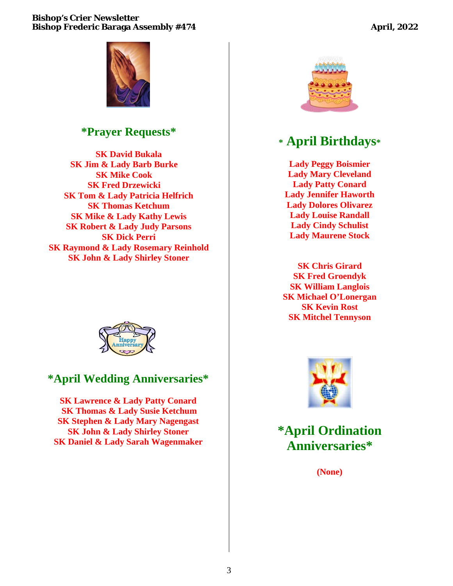#### **Bishop's Crier Newsletter Bishop Frederic Baraga Assembly #474 April, 2022 April, 2022**



#### **\*Prayer Requests\***

**SK David Bukala SK Jim & Lady Barb Burke SK Mike Cook SK Fred Drzewicki SK Tom & Lady Patricia Helfrich SK Thomas Ketchum SK Mike & Lady Kathy Lewis SK Robert & Lady Judy Parsons SK Dick Perri SK Raymond & Lady Rosemary Reinhold SK John & Lady Shirley Stoner**



#### **\*April Wedding Anniversaries\***

**SK Lawrence & Lady Patty Conard SK Thomas & Lady Susie Ketchum SK Stephen & Lady Mary Nagengast SK John & Lady Shirley Stoner SK Daniel & Lady Sarah Wagenmaker** 



# **\* April Birthdays\***

**Lady Peggy Boismier Lady Mary Cleveland Lady Patty Conard Lady Jennifer Haworth Lady Dolores Olivarez Lady Louise Randall Lady Cindy Schulist Lady Maurene Stock**

**SK Chris Girard SK Fred Groendyk SK William Langlois SK Michael O'Lonergan SK Kevin Rost SK Mitchel Tennyson**



**\*April Ordination Anniversaries\***

**(None)**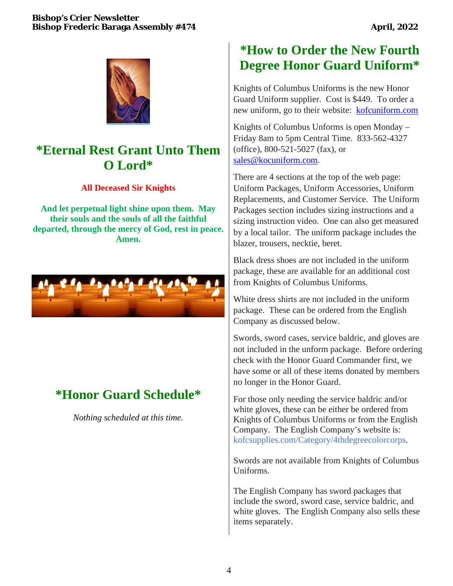

## **\*Eternal Rest Grant Unto Them O Lord\***

#### **All Deceased Sir Knights**

**And let perpetual light shine upon them. May their souls and the souls of all the faithful departed, through the mercy of God, rest in peace. Amen.**



# **\*Honor Guard Schedule\***

*Nothing scheduled at this time.*

# **\*How to Order the New Fourth Degree Honor Guard Uniform\***

Knights of Columbus Uniforms is the new Honor Guard Uniform supplier. Cost is \$449. To order a new uniform, go to their website: [kofcuniform.com](http://www.kofcuniform.com)/)

Knights of Columbus Unforms is open Monday – Friday 8am to 5pm Central Time. 833-562-4327 (office), 800-521-5027 (fax), or [sales@kocuniform.com.](mailto:sales@kocuniform.com)

There are 4 sections at the top of the web page: Uniform Packages, Uniform Accessories, Uniform Replacements, and Customer Service. The Uniform Packages section includes sizing instructions and a sizing instruction video. One can also get measured by a local tailor. The uniform package includes the blazer, trousers, necktie, beret.

Black dress shoes are not included in the uniform package, these are available for an additional cost from Knights of Columbus Uniforms.

White dress shirts are not included in the uniform package. These can be ordered from the English Company as discussed below.

Swords, sword cases, service baldric, and gloves are not included in the unform package. Before ordering check with the Honor Guard Commander first, we have some or all of these items donated by members no longer in the Honor Guard.

For those only needing the service baldric and/or white gloves, these can be either be ordered from Knights of Columbus Uniforms or from the English Company. The English Company's website is: kofcsupplies.com/Category/4thdegreecolorcorps.

Swords are not available from Knights of Columbus Uniforms.

The English Company has sword packages that include the sword, sword case, service baldric, and white gloves. The English Company also sells these items separately.